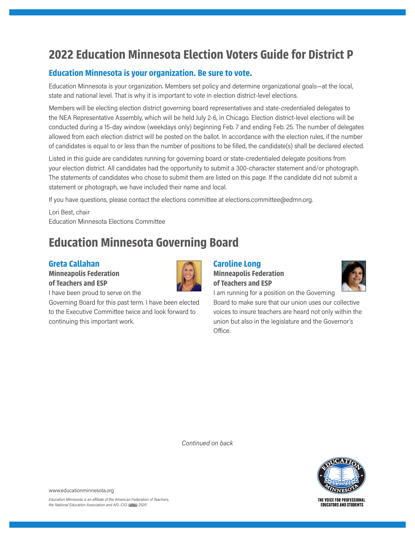# **2022 Education Minnesota Election Voters Guide for District P**

## **Education Minnesota is your organization. Be sure to vote.**

Education Minnesota is your organization. Members set policy and determine organizational goals—at the local, state and national level. That is why it is important to vote in election district-level elections.

Members will be electing election district governing board representatives and state-credentialed delegates to the NEA Representative Assembly, which will be held July 2-6, in Chicago. Election district-level elections will be conducted during a 15-day window (weekdays only) beginning Feb. 7 and ending Feb. 25. The number of delegates allowed from each election district will be posted on the ballot. In accordance with the election rules, if the number of candidates is equal to or less than the number of positions to be filled, the candidate(s) shall be declared elected.

Listed in this guide are candidates running for governing board or state-credentialed delegate positions from your election district. All candidates had the opportunity to submit a 300-character statement and/or photograph. The statements of candidates who chose to submit them are listed on this page. If the candidate did not submit a statement or photograph, we have included their name and local.

If you have questions, please contact the elections committee at elections.committee@edmn.org.

Lori Best, chair Education Minnesota Elections Committee

# **Education Minnesota Governing Board**

## **Greta Callahan**

**Minneapolis Federation of Teachers and ESP**



I have been proud to serve on the

Governing Board for this past term. I have been elected to the Executive Committee twice and look forward to continuing this important work.

#### **Caroline Long Minneapolis Federation of Teachers and ESP**



Board to make sure that our union uses our collective voices to insure teachers are heard not only within the union but also in the legislature and the Governor's Office.

I am running for a position on the Governing

*Continued on back*



www.educationminnesota.org

THE VOICE FOR PROFESSIONAL **EDUCATORS AND STUDENTS**